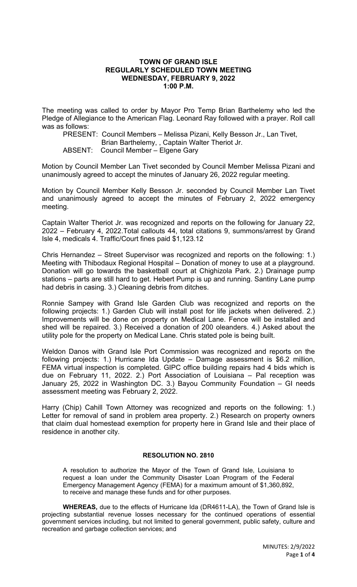## **TOWN OF GRAND ISLE REGULARLY SCHEDULED TOWN MEETING WEDNESDAY, FEBRUARY 9, 2022 1:00 P.M.**

The meeting was called to order by Mayor Pro Temp Brian Barthelemy who led the Pledge of Allegiance to the American Flag. Leonard Ray followed with a prayer. Roll call was as follows:

PRESENT: Council Members – Melissa Pizani, Kelly Besson Jr., Lan Tivet, Brian Barthelemy, , Captain Walter Theriot Jr.

ABSENT: Council Member – Elgene Gary

Motion by Council Member Lan Tivet seconded by Council Member Melissa Pizani and unanimously agreed to accept the minutes of January 26, 2022 regular meeting.

Motion by Council Member Kelly Besson Jr. seconded by Council Member Lan Tivet and unanimously agreed to accept the minutes of February 2, 2022 emergency meeting.

Captain Walter Theriot Jr. was recognized and reports on the following for January 22, 2022 – February 4, 2022.Total callouts 44, total citations 9, summons/arrest by Grand Isle 4, medicals 4. Traffic/Court fines paid \$1,123.12

Chris Hernandez – Street Supervisor was recognized and reports on the following: 1.) Meeting with Thibodaux Regional Hospital – Donation of money to use at a playground. Donation will go towards the basketball court at Chighizola Park. 2.) Drainage pump stations – parts are still hard to get. Hebert Pump is up and running. Santiny Lane pump had debris in casing. 3.) Cleaning debris from ditches.

Ronnie Sampey with Grand Isle Garden Club was recognized and reports on the following projects: 1.) Garden Club will install post for life jackets when delivered. 2.) Improvements will be done on property on Medical Lane. Fence will be installed and shed will be repaired. 3.) Received a donation of 200 oleanders. 4.) Asked about the utility pole for the property on Medical Lane. Chris stated pole is being built.

Weldon Danos with Grand Isle Port Commission was recognized and reports on the following projects: 1.) Hurricane Ida Update – Damage assessment is \$6.2 million, FEMA virtual inspection is completed. GIPC office building repairs had 4 bids which is due on February 11, 2022. 2.) Port Association of Louisiana – Pal reception was January 25, 2022 in Washington DC. 3.) Bayou Community Foundation – GI needs assessment meeting was February 2, 2022.

Harry (Chip) Cahill Town Attorney was recognized and reports on the following: 1.) Letter for removal of sand in problem area property. 2.) Research on property owners that claim dual homestead exemption for property here in Grand Isle and their place of residence in another city.

## **RESOLUTION NO. 2810**

A resolution to authorize the Mayor of the Town of Grand Isle, Louisiana to request a loan under the Community Disaster Loan Program of the Federal Emergency Management Agency (FEMA) for a maximum amount of \$1,360,892, to receive and manage these funds and for other purposes.

**WHEREAS,** due to the effects of Hurricane Ida (DR4611-LA), the Town of Grand Isle is projecting substantial revenue losses necessary for the continued operations of essential government services including, but not limited to general government, public safety, culture and recreation and garbage collection services; and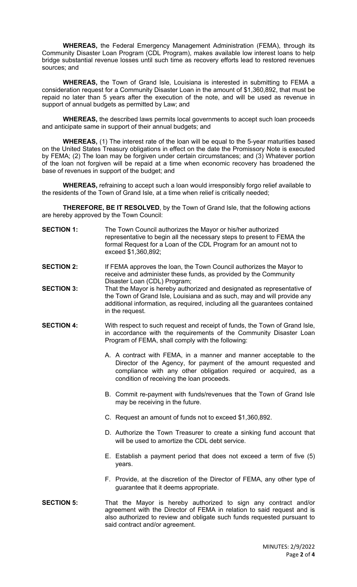**WHEREAS,** the Federal Emergency Management Administration (FEMA), through its Community Disaster Loan Program (CDL Program), makes available low interest loans to help bridge substantial revenue losses until such time as recovery efforts lead to restored revenues sources; and

**WHEREAS,** the Town of Grand Isle, Louisiana is interested in submitting to FEMA a consideration request for a Community Disaster Loan in the amount of \$1,360,892, that must be repaid no later than 5 years after the execution of the note, and will be used as revenue in support of annual budgets as permitted by Law; and

**WHEREAS,** the described laws permits local governments to accept such loan proceeds and anticipate same in support of their annual budgets; and

**WHEREAS,** (1) The interest rate of the loan will be equal to the 5-year maturities based on the United States Treasury obligations in effect on the date the Promissory Note is executed by FEMA; (2) The loan may be forgiven under certain circumstances; and (3) Whatever portion of the loan not forgiven will be repaid at a time when economic recovery has broadened the base of revenues in support of the budget; and

**WHEREAS,** refraining to accept such a loan would irresponsibly forgo relief available to the residents of the Town of Grand Isle, at a time when relief is critically needed;

**THEREFORE, BE IT RESOLVED**, by the Town of Grand Isle, that the following actions are hereby approved by the Town Council:

- **SECTION 1:** The Town Council authorizes the Mayor or his/her authorized representative to begin all the necessary steps to present to FEMA the formal Request for a Loan of the CDL Program for an amount not to exceed \$1,360,892;
- **SECTION 2:** If FEMA approves the loan, the Town Council authorizes the Mayor to receive and administer these funds, as provided by the Community Disaster Loan (CDL) Program;
- **SECTION 3:** That the Mayor is hereby authorized and designated as representative of the Town of Grand Isle, Louisiana and as such, may and will provide any additional information, as required, including all the guarantees contained in the request.
- **SECTION 4:** With respect to such request and receipt of funds, the Town of Grand Isle, in accordance with the requirements of the Community Disaster Loan Program of FEMA, shall comply with the following:
	- A. A contract with FEMA, in a manner and manner acceptable to the Director of the Agency, for payment of the amount requested and compliance with any other obligation required or acquired, as a condition of receiving the loan proceeds.
	- B. Commit re-payment with funds/revenues that the Town of Grand Isle may be receiving in the future.
	- C. Request an amount of funds not to exceed \$1,360,892.
	- D. Authorize the Town Treasurer to create a sinking fund account that will be used to amortize the CDL debt service.
	- E. Establish a payment period that does not exceed a term of five (5) years.
	- F. Provide, at the discretion of the Director of FEMA, any other type of guarantee that it deems appropriate.
- **SECTION 5:** That the Mayor is hereby authorized to sign any contract and/or agreement with the Director of FEMA in relation to said request and is also authorized to review and obligate such funds requested pursuant to said contract and/or agreement.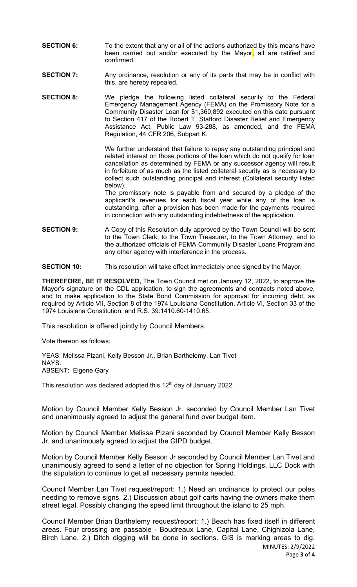- **SECTION 6:** To the extent that any or all of the actions authorized by this means have been carried out and/or executed by the Mayor, all are ratified and confirmed.
- **SECTION 7:** Any ordinance, resolution or any of its parts that may be in conflict with this, are hereby repealed.
- **SECTION 8:** We pledge the following listed collateral security to the Federal Emergency Management Agency (FEMA) on the Promissory Note for a Community Disaster Loan for \$1,360,892 executed on this date pursuant to Section 417 of the Robert T. Stafford Disaster Relief and Emergency Assistance Act, Public Law 93-288, as amended, and the FEMA Regulation, 44 CFR 206, Subpart K.

We further understand that failure to repay any outstanding principal and related interest on those portions of the loan which do not qualify for loan cancellation as determined by FEMA or any successor agency will result in forfeiture of as much as the listed collateral security as is necessary to collect such outstanding principal and interest (Collateral security listed below).

The promissory note is payable from and secured by a pledge of the applicant's revenues for each fiscal year while any of the loan is outstanding, after a provision has been made for the payments required in connection with any outstanding indebtedness of the application.

- **SECTION 9:** A Copy of this Resolution duly approved by the Town Council will be sent to the Town Clerk, to the Town Treasurer, to the Town Attorney, and to the authorized officials of FEMA Community Disaster Loans Program and any other agency with interference in the process.
- **SECTION 10:** This resolution will take effect immediately once signed by the Mayor.

**THEREFORE, BE IT RESOLVED,** The Town Council met on January 12, 2022, to approve the Mayor's signature on the CDL application, to sign the agreements and contracts noted above, and to make application to the State Bond Commission for approval for incurring debt, as required by Article VII, Section 8 of the 1974 Louisiana Constitution, Article VI, Section 33 of the 1974 Louisiana Constitution, and R.S. 39:1410.60-1410.65.

This resolution is offered jointly by Council Members.

Vote thereon as follows:

YEAS: Melissa Pizani, Kelly Besson Jr., Brian Barthelemy, Lan Tivet NAYS: ABSENT: Elgene Gary

This resolution was declared adopted this 12<sup>th</sup> day of January 2022.

Motion by Council Member Kelly Besson Jr. seconded by Council Member Lan Tivet and unanimously agreed to adjust the general fund over budget item.

Motion by Council Member Melissa Pizani seconded by Council Member Kelly Besson Jr. and unanimously agreed to adjust the GIPD budget.

Motion by Council Member Kelly Besson Jr seconded by Council Member Lan Tivet and unanimously agreed to send a letter of no objection for Spring Holdings, LLC Dock with the stipulation to continue to get all necessary permits needed.

Council Member Lan Tivet request/report: 1.) Need an ordinance to protect our poles needing to remove signs. 2.) Discussion about golf carts having the owners make them street legal. Possibly changing the speed limit throughout the island to 25 mph.

MINUTES: 2/9/2022 Council Member Brian Barthelemy request/report: 1.) Beach has fixed itself in different areas. Four crossing are passable - Boudreaux Lane, Capital Lane, Chighizola Lane, Birch Lane. 2.) Ditch digging will be done in sections. GIS is marking areas to dig.